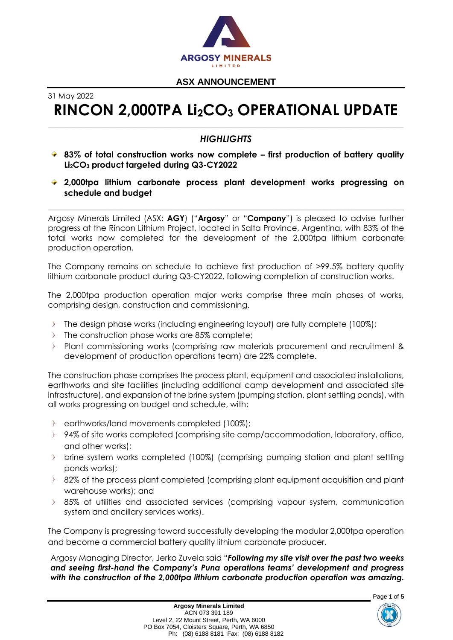

31 May 2022

# **RINCON 2,000TPA Li2CO<sup>3</sup> OPERATIONAL UPDATE**

# *HIGHLIGHTS*

- **83% of total construction works now complete – first production of battery quality Li2CO<sup>3</sup> product targeted during Q3-CY2022**
- **2,000tpa lithium carbonate process plant development works progressing on schedule and budget**

Argosy Minerals Limited (ASX: **AGY**) ("**Argosy**" or "**Company**") is pleased to advise further progress at the Rincon Lithium Project, located in Salta Province, Argentina, with 83% of the total works now completed for the development of the 2,000tpa lithium carbonate production operation.

\_\_\_\_\_\_\_\_\_\_\_\_\_\_\_\_\_\_\_\_\_\_\_\_\_\_\_\_\_\_\_\_\_\_\_\_\_\_\_\_\_\_\_\_\_\_\_\_\_\_\_\_\_\_\_\_\_\_\_\_\_\_\_\_\_\_\_\_\_\_\_\_\_\_\_\_\_\_\_\_\_\_\_\_\_\_\_\_\_\_\_\_\_\_\_\_\_\_\_\_\_\_\_\_\_\_\_\_\_\_\_\_\_\_\_\_\_\_\_\_\_\_\_\_\_\_\_\_\_\_\_\_\_\_\_\_\_\_\_\_\_\_\_\_\_\_\_\_\_\_\_\_\_\_\_\_

The Company remains on schedule to achieve first production of >99.5% battery quality lithium carbonate product during Q3-CY2022, following completion of construction works.

The 2,000tpa production operation major works comprise three main phases of works, comprising design, construction and commissioning.

- The design phase works (including engineering layout) are fully complete (100%);  $\triangleright$
- The construction phase works are 85% complete;  $\mathcal{D}$
- $\sum_{i=1}^{n}$ Plant commissioning works (comprising raw materials procurement and recruitment & development of production operations team) are 22% complete.

The construction phase comprises the process plant, equipment and associated installations, earthworks and site facilities (including additional camp development and associated site infrastructure), and expansion of the brine system (pumping station, plant settling ponds), with all works progressing on budget and schedule, with;

- $\triangleright$ earthworks/land movements completed (100%);
- 94% of site works completed (comprising site camp/accommodation, laboratory, office,  $\triangleright$ and other works);
- brine system works completed (100%) (comprising pumping station and plant settling ponds works);
- 82% of the process plant completed (comprising plant equipment acquisition and plant warehouse works); and
- 85% of utilities and associated services (comprising vapour system, communication system and ancillary services works).

The Company is progressing toward successfully developing the modular 2,000tpa operation and become a commercial battery quality lithium carbonate producer.

Argosy Managing Director, Jerko Zuvela said "*Following my site visit over the past two weeks and seeing first-hand the Company's Puna operations teams' development and progress with the construction of the 2,000tpa lithium carbonate production operation was amazing.* 

Page **1** of **5**

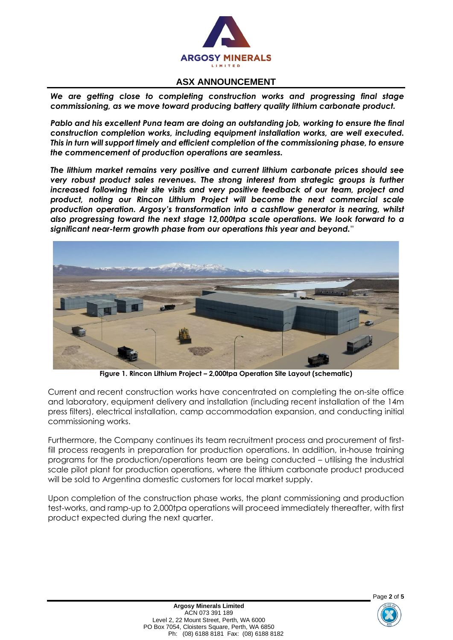

*We are getting close to completing construction works and progressing final stage commissioning, as we move toward producing battery quality lithium carbonate product.*

*Pablo and his excellent Puna team are doing an outstanding job, working to ensure the final construction completion works, including equipment installation works, are well executed. This in turn will support timely and efficient completion of the commissioning phase, to ensure the commencement of production operations are seamless.*

*The lithium market remains very positive and current lithium carbonate prices should see very robust product sales revenues. The strong interest from strategic groups is further increased following their site visits and very positive feedback of our team, project and product, noting our Rincon Lithium Project will become the next commercial scale production operation. Argosy's transformation into a cashflow generator is nearing, whilst also progressing toward the next stage 12,000tpa scale operations. We look forward to a significant near-term growth phase from our operations this year and beyond.*"



**Figure 1. Rincon Lithium Project – 2,000tpa Operation Site Layout (schematic)**

Current and recent construction works have concentrated on completing the on-site office and laboratory, equipment delivery and installation (including recent installation of the 14m press filters), electrical installation, camp accommodation expansion, and conducting initial commissioning works.

Furthermore, the Company continues its team recruitment process and procurement of firstfill process reagents in preparation for production operations. In addition, in-house training programs for the production/operations team are being conducted – utilising the industrial scale pilot plant for production operations, where the lithium carbonate product produced will be sold to Argentina domestic customers for local market supply.

Upon completion of the construction phase works, the plant commissioning and production test-works, and ramp-up to 2,000tpa operations will proceed immediately thereafter, with first product expected during the next quarter.

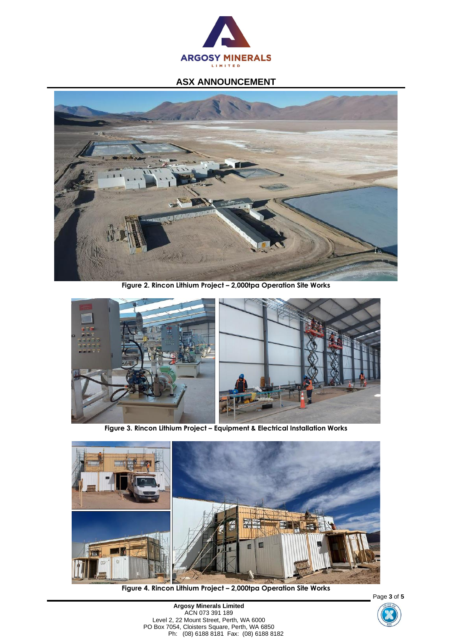



**Figure 2. Rincon Lithium Project – 2,000tpa Operation Site Works**



**Figure 3. Rincon Lithium Project – Equipment & Electrical Installation Works**



**Figure 4. Rincon Lithium Project – 2,000tpa Operation Site Works**

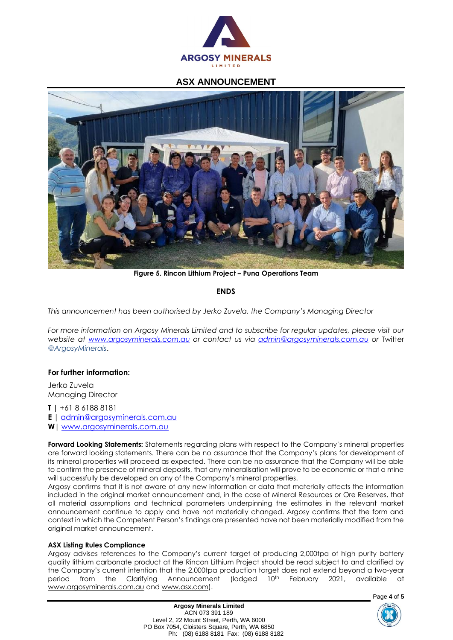



**Figure 5. Rincon Lithium Project – Puna Operations Team**

## **ENDS**

*This announcement has been authorised by Jerko Zuvela, the Company's Managing Director*

*For more information on Argosy Minerals Limited and to subscribe for regular updates, please visit our website at [www.argosyminerals.com.au](http://www.argosyminerals.com.au/) or contact us via [admin@argosyminerals.com.au](mailto:admin@argosyminerals.com.au) or* Twitter *[@ArgosyMinerals](https://twitter.com/ArgosyMinerals)*.

#### **For further information:**

Jerko Zuvela Managing Director

**T |** +61 8 6188 8181

**E |** [admin@argosyminerals.com.au](mailto:admin@argosyminerals.com.au)

**W|** [www.argosyminerals.com.au](http://www.argosyminerals.com.au/)

**Forward Looking Statements:** Statements regarding plans with respect to the Company's mineral properties are forward looking statements. There can be no assurance that the Company's plans for development of its mineral properties will proceed as expected. There can be no assurance that the Company will be able to confirm the presence of mineral deposits, that any mineralisation will prove to be economic or that a mine will successfully be developed on any of the Company's mineral properties.

Argosy confirms that it is not aware of any new information or data that materially affects the information included in the original market announcement and, in the case of Mineral Resources or Ore Reserves, that all material assumptions and technical parameters underpinning the estimates in the relevant market announcement continue to apply and have not materially changed. Argosy confirms that the form and context in which the Competent Person's findings are presented have not been materially modified from the original market announcement.

#### **ASX Listing Rules Compliance**

Argosy advises references to the Company's current target of producing 2,000tpa of high purity battery quality lithium carbonate product at the Rincon Lithium Project should be read subject to and clarified by the Company's current intention that the 2,000tpa production target does not extend beyond a two-year period from the Clarifying Announcement (lodged 10<sup>th</sup> February 2021, available at [www.argosyminerals.com.au](http://www.argosyminerals.com.au/) and [www.asx.com\)](http://www.asx.com/).

> **Argosy Minerals Limited** ACN 073 391 189 Level 2, 22 Mount Street, Perth, WA 6000 PO Box 7054, Cloisters Square, Perth, WA 6850 Ph: (08) 6188 8181 Fax: (08) 6188 8182